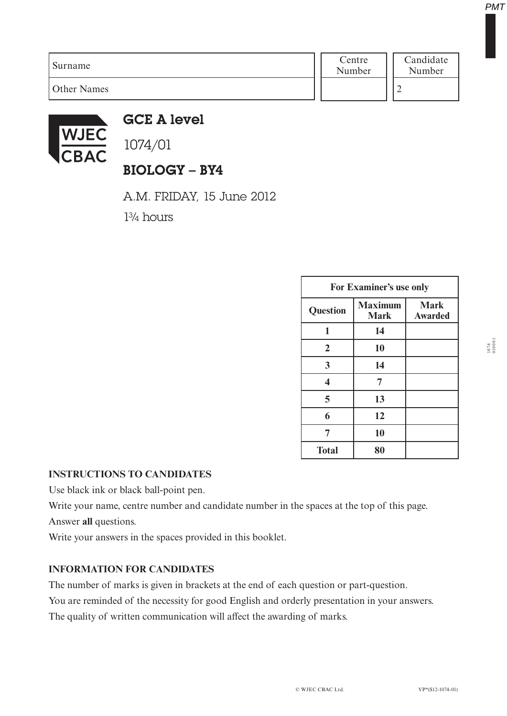| Surname            | Centre<br>Number | Candidate<br>Number |
|--------------------|------------------|---------------------|
| <b>Other Names</b> |                  |                     |



GCE A level

1074/01

# BIOLOGY – BY4

A.M. FRIDAY, 15 June 2012

1¾ hours

| For Examiner's use only |                               |                               |  |
|-------------------------|-------------------------------|-------------------------------|--|
| <b>Question</b>         | <b>Maximum</b><br><b>Mark</b> | <b>Mark</b><br><b>Awarded</b> |  |
| 1                       | 14                            |                               |  |
| $\overline{2}$          | 10                            |                               |  |
| 3                       | 14                            |                               |  |
| 4                       | 7                             |                               |  |
| 5                       | 13                            |                               |  |
| 6                       | 12                            |                               |  |
| 7                       | 10                            |                               |  |
| <b>Total</b>            | 80                            |                               |  |

#### **INSTRUCTIONS TO CANDIDATES**

Use black ink or black ball-point pen.

Write your name, centre number and candidate number in the spaces at the top of this page.

Answer **all** questions.

Write your answers in the spaces provided in this booklet.

#### **INFORMATION FOR CANDIDATES**

The number of marks is given in brackets at the end of each question or part-question.

You are reminded of the necessity for good English and orderly presentation in your answers.

The quality of written communication will affect the awarding of marks.

1074 010001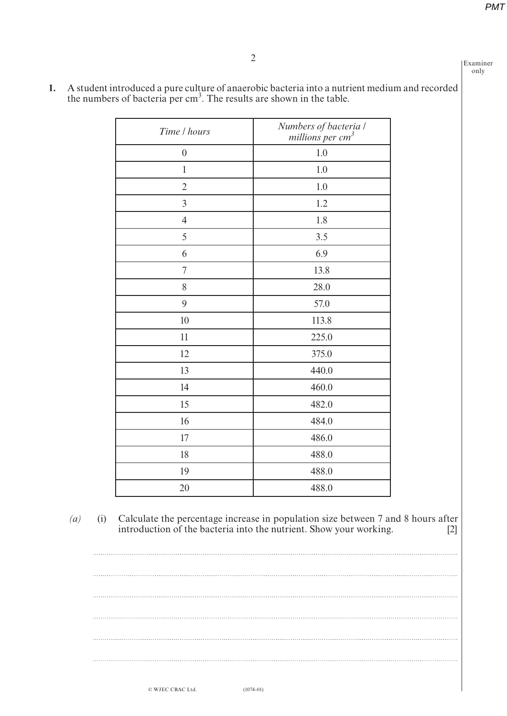2

Examiner only

 $\cdots$ 

| Time / hours     | Numbers of bacteria /<br>millions per cm <sup>3</sup> |
|------------------|-------------------------------------------------------|
| $\boldsymbol{0}$ | 1.0                                                   |
| $\mathbf{1}$     | 1.0                                                   |
| $\overline{2}$   | 1.0                                                   |
| $\overline{3}$   | 1.2                                                   |
| $\overline{4}$   | 1.8                                                   |
| 5                | 3.5                                                   |
| 6                | 6.9                                                   |
| 7                | 13.8                                                  |
| 8                | 28.0                                                  |
| 9                | 57.0                                                  |
| 10               | 113.8                                                 |
| 11               | 225.0                                                 |
| 12               | 375.0                                                 |
| 13               | 440.0                                                 |
| 14               | 460.0                                                 |
| 15               | 482.0                                                 |
| 16               | 484.0                                                 |
| 17               | 486.0                                                 |
| 18               | 488.0                                                 |
| 19               | 488.0                                                 |
| 20               | 488.0                                                 |

**1.** A student introduced a pure culture of anaerobic bacteria into a nutrient medium and recorded the numbers of bacteria per  $cm<sup>3</sup>$ . The results are shown in the table.

*(a)* (i) Calculate the percentage increase in population size between 7 and 8 hours after introduction of the bacteria into the nutrient. Show your working.

 $\mathbf{r}$  $\mathcal{L}$  $\cdots$ 

© WJEC CBAC Ltd.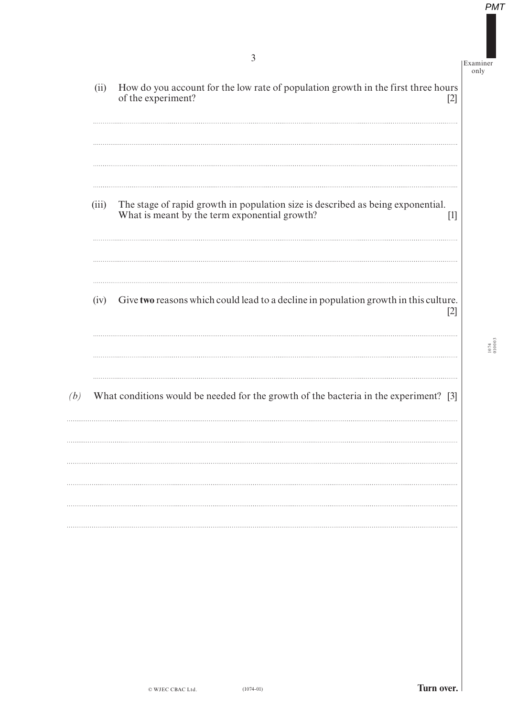(ii) How do you account for the low rate of population growth in the first three hours of the experiment? [2] (iii) The stage of rapid growth in population size is described as being exponential. What is meant by the term exponential growth? [1] (iv) Give **two** reasons which could lead to a decline in population growth in this culture. [2] *(b)* What conditions would be needed for the growth of the bacteria in the experiment? [3]

3 Examiner

only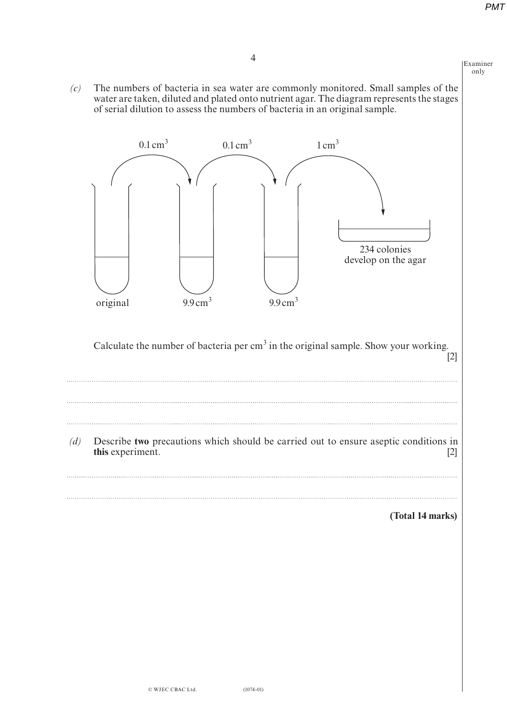Examiner only

**(Total 14 marks)**

*(c)* The numbers of bacteria in sea water are commonly monitored. Small samples of the water are taken, diluted and plated onto nutrient agar. The diagram represents the stages of serial dilution to assess the numbers of bacteria in an original sample.



*(d)* Describe **two** precautions which should be carried out to ensure aseptic conditions in **this** experiment. [2]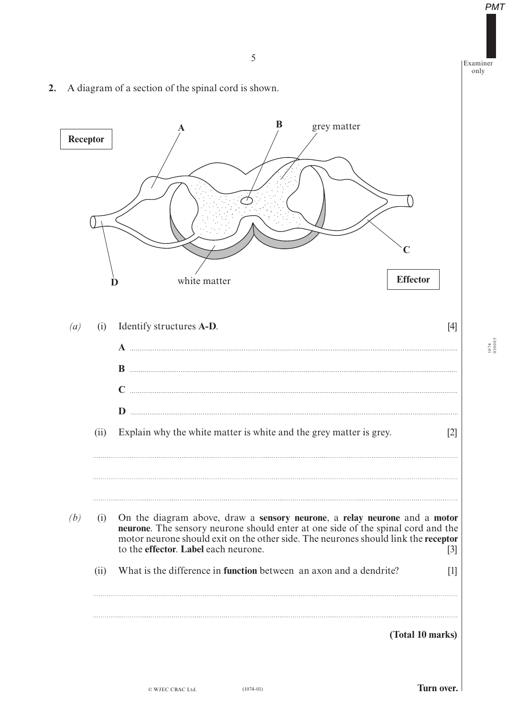5 Examiner *(a)* (i) Identify structures **A-D**. [4]  **A ............................................................................................................................... .............................................. B ............................................................................................................................... .............................................. C ............................................................................................................................... .............................................. D ............................................................................................................................... ..............................................** (ii) Explain why the white matter is white and the grey matter is grey. [2] *(b)* (i) On the diagram above, draw a **sensory neurone**, a **relay neurone** and a **motor neurone**. The sensory neurone should enter at one side of the spinal cord and the motor neurone should exit on the other side. The neurones should link the **receptor** to the **effector**. **Label** each neurone. [3] (ii) What is the difference in **function** between an axon and a dendrite? [1] **(Total 10 marks) A B C D Receptor Effector** grey matter white matter

**2.** A diagram of a section of the spinal cord is shown.

(1074-01) **Turn over.**

1074 010005

only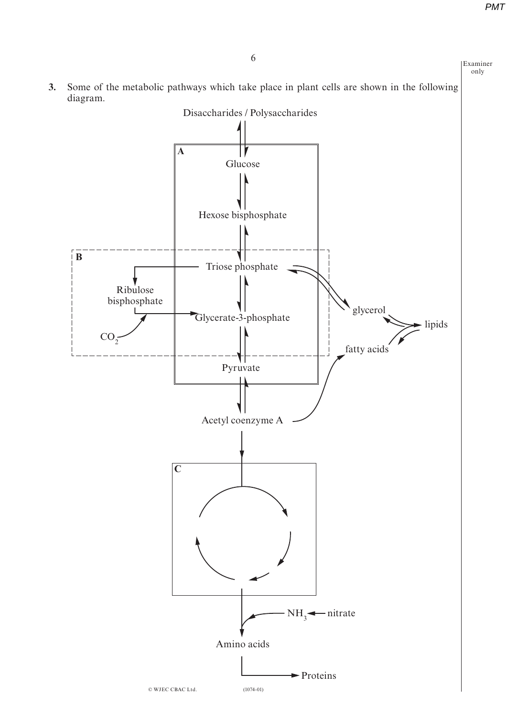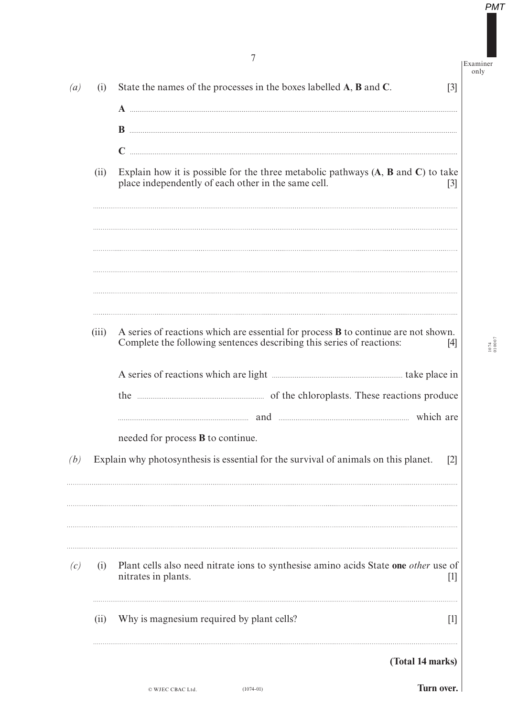Examiner only

1074 010007

| $\left(a\right)$ | (i)   | State the names of the processes in the boxes labelled A, B and C.<br>$\lceil 3 \rceil$                                                                                                                                                                  |
|------------------|-------|----------------------------------------------------------------------------------------------------------------------------------------------------------------------------------------------------------------------------------------------------------|
|                  |       |                                                                                                                                                                                                                                                          |
|                  | (ii)  | Explain how it is possible for the three metabolic pathways $(A, B \text{ and } C)$ to take<br>place independently of each other in the same cell.<br>$[3]$                                                                                              |
|                  |       |                                                                                                                                                                                                                                                          |
|                  | (iii) | A series of reactions which are essential for process $\bf{B}$ to continue are not shown.                                                                                                                                                                |
|                  |       | Complete the following sentences describing this series of reactions:<br>[4]                                                                                                                                                                             |
|                  |       | and manufactured and manufactured which are                                                                                                                                                                                                              |
|                  |       | needed for process <b>B</b> to continue.                                                                                                                                                                                                                 |
| (b)              |       | Explain why photosynthesis is essential for the survival of animals on this planet.<br>$\lceil 2 \rceil$                                                                                                                                                 |
| (c)              | (i)   | Plant cells also need nitrate ions to synthesise amino acids State one other use of<br>nitrates in plants.<br>$[1] % \includegraphics[width=0.9\columnwidth]{figures/fig_1a} \caption{The figure shows the number of times on the right.} \label{fig:1}$ |
|                  | (i)   | Why is magnesium required by plant cells?<br>$[1]$                                                                                                                                                                                                       |
|                  |       | (Total 14 marks)                                                                                                                                                                                                                                         |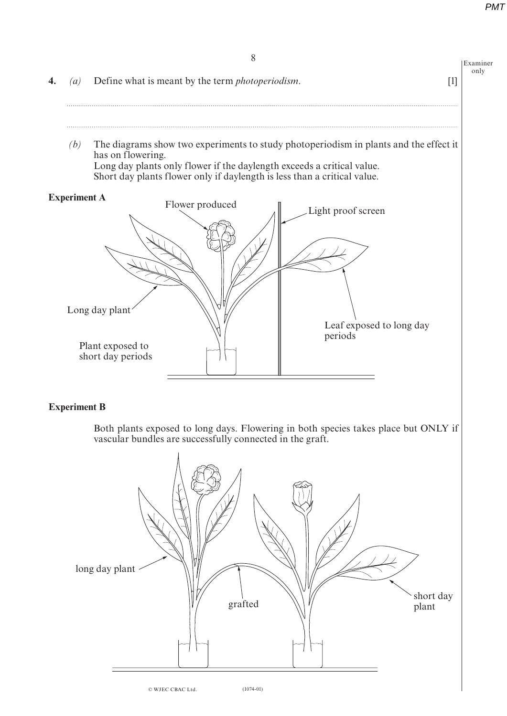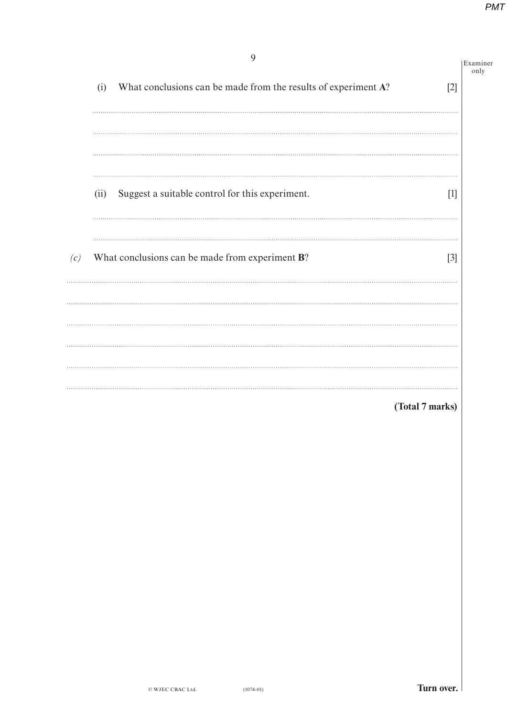|     | 9                                                                     |                 | Examiner<br>only |
|-----|-----------------------------------------------------------------------|-----------------|------------------|
|     | What conclusions can be made from the results of experiment A?<br>(i) | $[2]$           |                  |
|     |                                                                       |                 |                  |
|     | Suggest a suitable control for this experiment.<br>(ii)               | $[1]$           |                  |
| (c) | What conclusions can be made from experiment B?                       | $[3]$           |                  |
|     |                                                                       |                 |                  |
|     |                                                                       |                 |                  |
|     |                                                                       | (Total 7 marks) |                  |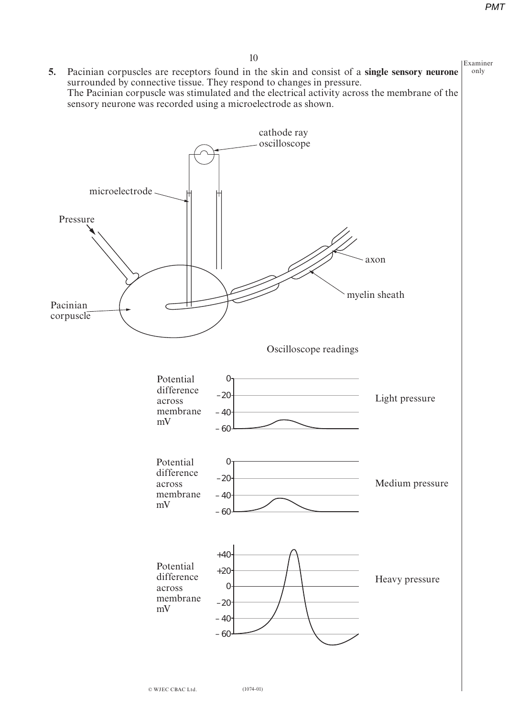

10 Examiner **5.** Pacinian corpuscles are receptors found in the skin and consist of a **single sensory neurone**  $\vert$  only surrounded by connective tissue. They respond to changes in pressure. The Pacinian corpuscle was stimulated and the electrical activity across the membrane of the sensory neurone was recorded using a microelectrode as shown.

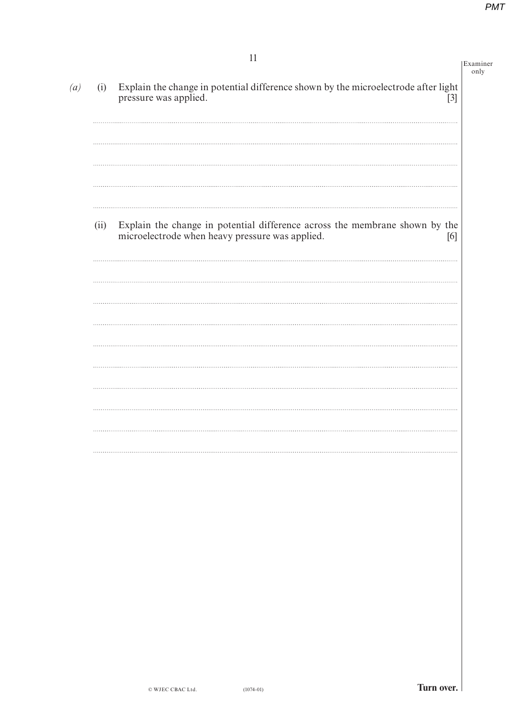| (i)  | 11<br>Examiner<br>Explain the change in potential difference shown by the microelectrode after light                                  |
|------|---------------------------------------------------------------------------------------------------------------------------------------|
|      | pressure was applied.<br>$[3]$                                                                                                        |
|      |                                                                                                                                       |
|      |                                                                                                                                       |
| (ii) | Explain the change in potential difference across the membrane shown by the<br>microelectrode when heavy pressure was applied.<br>[6] |
|      |                                                                                                                                       |
|      |                                                                                                                                       |
|      |                                                                                                                                       |
|      |                                                                                                                                       |
|      |                                                                                                                                       |
|      |                                                                                                                                       |
|      |                                                                                                                                       |
|      |                                                                                                                                       |
|      |                                                                                                                                       |
|      |                                                                                                                                       |
|      |                                                                                                                                       |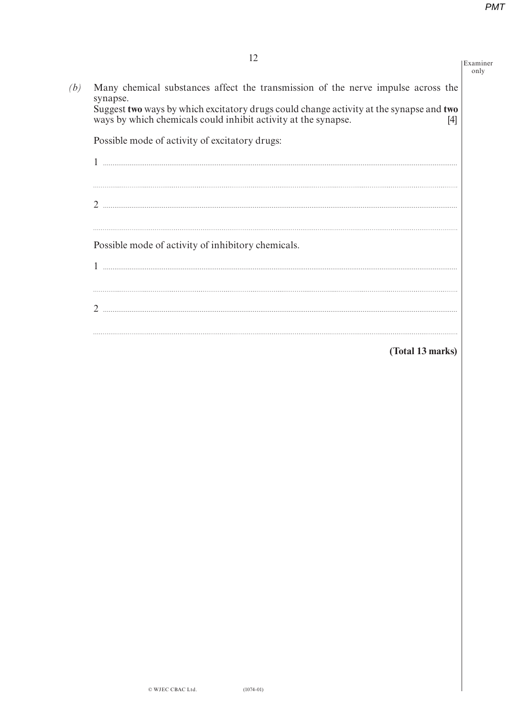Examiner only

| (b) | Many chemical substances affect the transmission of the nerve impulse across the<br>synapse.                                                                     |  |  |
|-----|------------------------------------------------------------------------------------------------------------------------------------------------------------------|--|--|
|     | Suggest two ways by which excitatory drugs could change activity at the synapse and two<br>ways by which chemicals could inhibit activity at the synapse.<br>[4] |  |  |
|     | Possible mode of activity of excitatory drugs:                                                                                                                   |  |  |
|     |                                                                                                                                                                  |  |  |
|     |                                                                                                                                                                  |  |  |
|     | 2                                                                                                                                                                |  |  |
|     |                                                                                                                                                                  |  |  |
|     | Possible mode of activity of inhibitory chemicals.                                                                                                               |  |  |
|     |                                                                                                                                                                  |  |  |
|     |                                                                                                                                                                  |  |  |
|     | $\mathfrak{D}$                                                                                                                                                   |  |  |
|     |                                                                                                                                                                  |  |  |

## **(Total 13 marks)**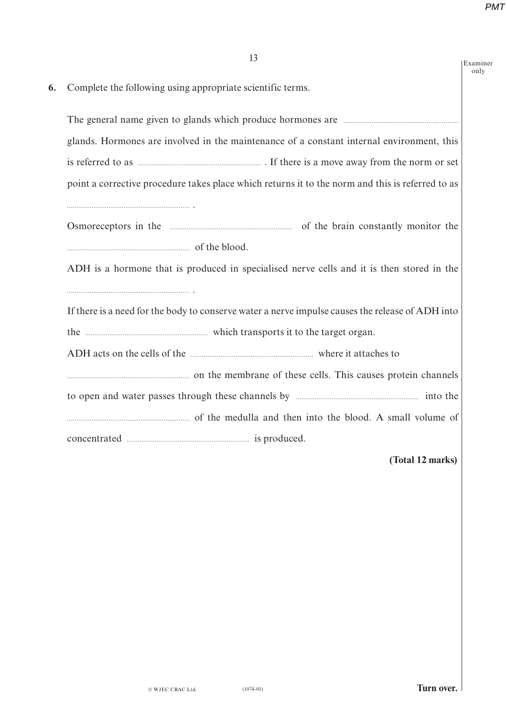|    | 13                                                                                                                                                                                                                                  | Examiner<br>only |
|----|-------------------------------------------------------------------------------------------------------------------------------------------------------------------------------------------------------------------------------------|------------------|
| 6. | Complete the following using appropriate scientific terms.                                                                                                                                                                          |                  |
|    | The general name given to glands which produce hormones are <i>manual manual manual</i> manual manual manual manual manual manual manual manual manual manual manual manual manual manual manual manual manual manual manual manual |                  |
|    | glands. Hormones are involved in the maintenance of a constant internal environment, this                                                                                                                                           |                  |
|    |                                                                                                                                                                                                                                     |                  |
|    | point a corrective procedure takes place which returns it to the norm and this is referred to as                                                                                                                                    |                  |
|    | Osmoreceptors in the manufactured and the brain constantly monitor the                                                                                                                                                              |                  |
|    | df the blood.                                                                                                                                                                                                                       |                  |
|    | ADH is a hormone that is produced in specialised nerve cells and it is then stored in the                                                                                                                                           |                  |
|    | If there is a need for the body to conserve water a nerve impulse causes the release of ADH into                                                                                                                                    |                  |
|    | the <i>manufacture manufacture which transports</i> it to the target organ.                                                                                                                                                         |                  |
|    | ADH acts on the cells of the manufactured where it attaches to                                                                                                                                                                      |                  |
|    |                                                                                                                                                                                                                                     |                  |
|    |                                                                                                                                                                                                                                     |                  |
|    |                                                                                                                                                                                                                                     |                  |
|    |                                                                                                                                                                                                                                     |                  |
|    |                                                                                                                                                                                                                                     |                  |

### **(Total 12 marks)**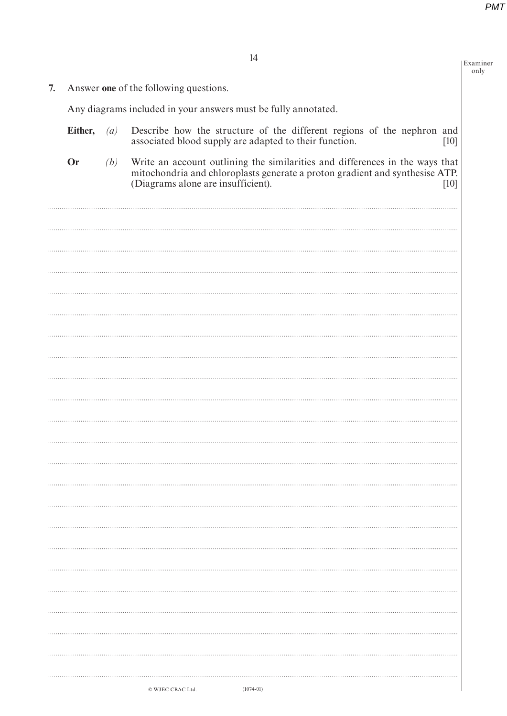Examiner only

14

**7.** Answer **one** of the following questions.

Any diagrams included in your answers must be fully annotated.

| Either, $(a)$ |     | Describe how the structure of the different regions of the nephron and<br>associated blood supply are adapted to their function.<br>[10]                                                                   |
|---------------|-----|------------------------------------------------------------------------------------------------------------------------------------------------------------------------------------------------------------|
| Or            | (b) | Write an account outlining the similarities and differences in the ways that<br>mitochondria and chloroplasts generate a proton gradient and synthesise ATP.<br>(Diagrams alone are insufficient).<br>[10] |
|               |     |                                                                                                                                                                                                            |
|               |     |                                                                                                                                                                                                            |
|               |     |                                                                                                                                                                                                            |
|               |     |                                                                                                                                                                                                            |
|               |     |                                                                                                                                                                                                            |
|               |     |                                                                                                                                                                                                            |
|               |     |                                                                                                                                                                                                            |
|               |     |                                                                                                                                                                                                            |
|               |     |                                                                                                                                                                                                            |
|               |     |                                                                                                                                                                                                            |
|               |     |                                                                                                                                                                                                            |
|               |     |                                                                                                                                                                                                            |
|               |     |                                                                                                                                                                                                            |
|               |     |                                                                                                                                                                                                            |
|               |     | $(1074-01)$<br>© WJEC CBAC Ltd.                                                                                                                                                                            |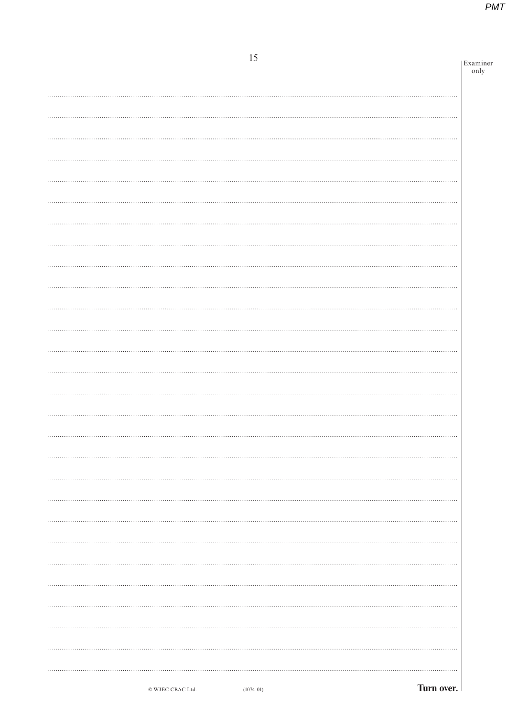| 15 | Examiner |
|----|----------|
|    | only     |
|    |          |
|    |          |
|    |          |
|    |          |
|    |          |
|    |          |
|    |          |
|    |          |
|    |          |
|    |          |
|    |          |
|    |          |
|    |          |
|    |          |
|    |          |
|    |          |
|    |          |
|    |          |
|    |          |
| .  |          |
|    |          |
|    |          |
|    |          |
|    |          |
|    |          |
|    |          |
|    |          |
|    |          |
|    |          |
|    |          |
|    |          |
|    |          |
|    |          |